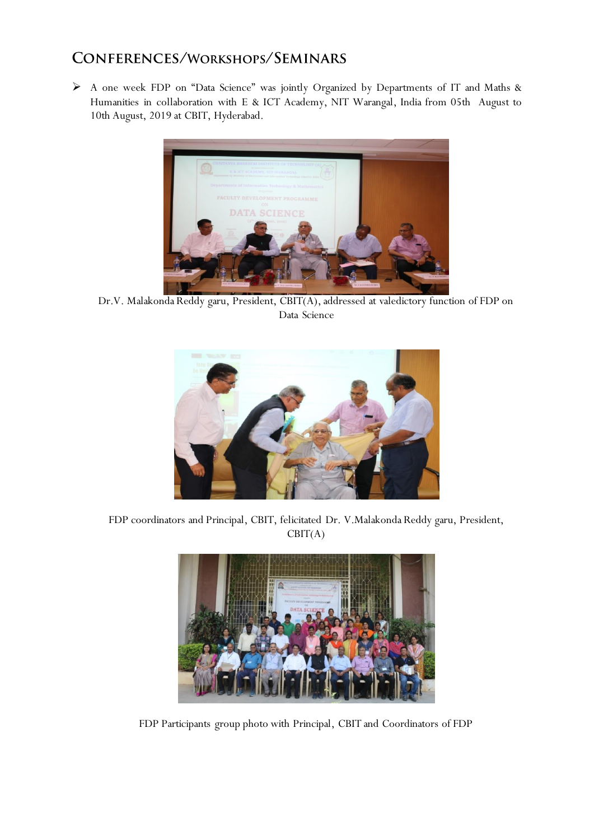## CONFERENCES/WORKSHOPS/SEMINARS

 A one week FDP on "Data Science" was jointly Organized by Departments of IT and Maths & Humanities in collaboration with E & ICT Academy, NIT Warangal, India from 05th August to 10th August, 2019 at CBIT, Hyderabad.



Dr.V. Malakonda Reddy garu, President, CBIT(A), addressed at valedictory function of FDP on Data Science



FDP coordinators and Principal, CBIT, felicitated Dr. V.Malakonda Reddy garu, President,  $CBIT(A)$ 



FDP Participants group photo with Principal, CBIT and Coordinators of FDP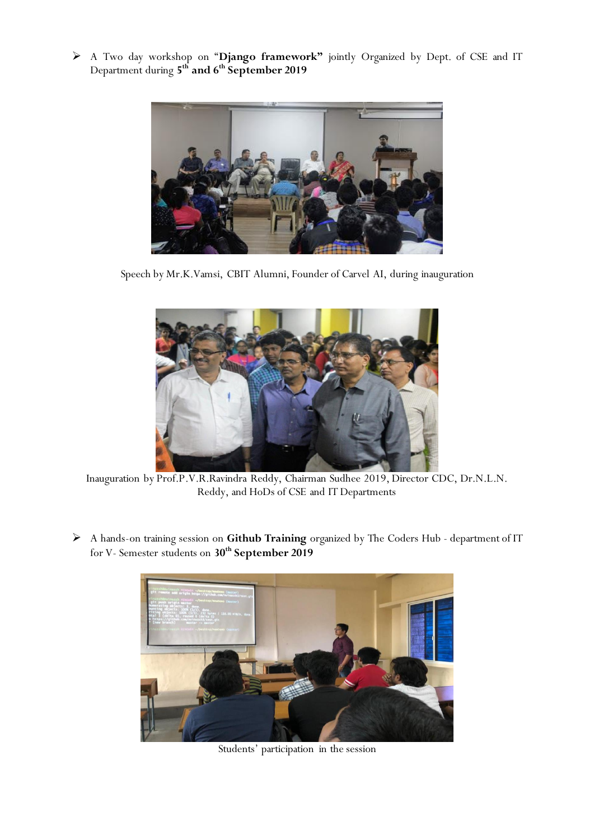A Two day workshop on "**Django framework"** jointly Organized by Dept. of CSE and IT Department during **5 th and 6th September 2019**



Speech by Mr.K.Vamsi, CBIT Alumni, Founder of Carvel AI, during inauguration



Inauguration by Prof.P.V.R.Ravindra Reddy, Chairman Sudhee 2019, Director CDC, Dr.N.L.N. Reddy, and HoDs of CSE and IT Departments

 A hands-on training session on **Github Training** organized by The Coders Hub - department of IT for V- Semester students on **30 th September 2019**



Students' participation in the session